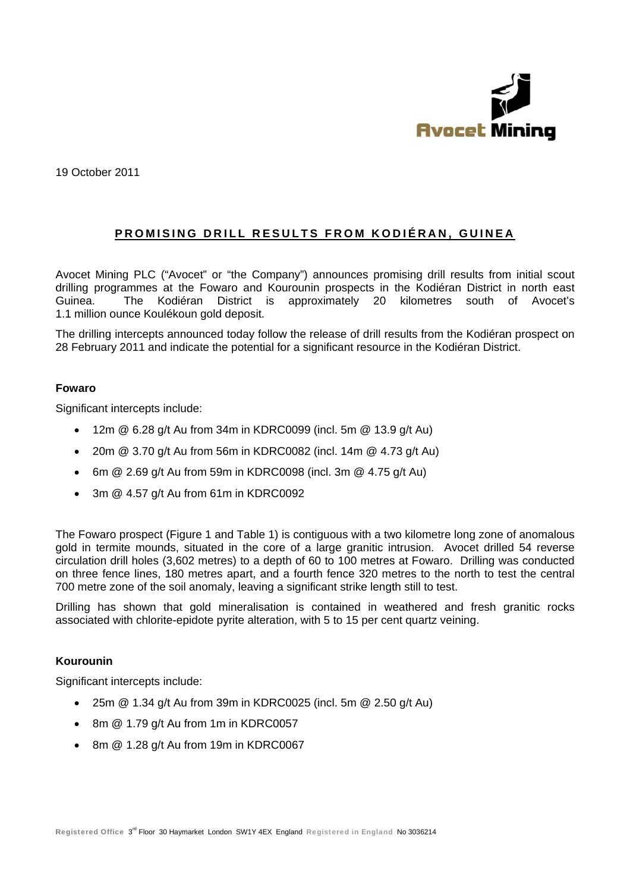

19 October 2011

## PROMISING DRILL RESULTS FROM KODIÉRAN, GUINEA

Avocet Mining PLC ("Avocet" or "the Company") announces promising drill results from initial scout drilling programmes at the Fowaro and Kourounin prospects in the Kodiéran District in north east The Kodiéran District is approximately 20 kilometres south of Avocet's Guinea. 1.1 million ounce Koulékoun gold deposit.

The drilling intercepts announced today follow the release of drill results from the Kodiéran prospect on 28 February 2011 and indicate the potential for a significant resource in the Kodiéran District.

### **Fowaro**

Significant intercepts include:

- 12m @ 6.28 g/t Au from 34m in KDRC0099 (incl. 5m @ 13.9 g/t Au)
- 20m @ 3.70 g/t Au from 56m in KDRC0082 (incl. 14m @ 4.73 g/t Au)  $\bullet$
- 6m @ 2.69 g/t Au from 59m in KDRC0098 (incl. 3m @ 4.75 g/t Au)
- 3m @ 4.57 g/t Au from 61m in KDRC0092

The Fowaro prospect (Figure 1 and Table 1) is contiguous with a two kilometre long zone of anomalous gold in termite mounds, situated in the core of a large granitic intrusion. Avocet drilled 54 reverse circulation drill holes (3,602 metres) to a depth of 60 to 100 metres at Fowaro. Drilling was conducted on three fence lines, 180 metres apart, and a fourth fence 320 metres to the north to test the central 700 metre zone of the soil anomaly, leaving a significant strike length still to test.

Drilling has shown that gold mineralisation is contained in weathered and fresh granitic rocks associated with chlorite-epidote pyrite alteration, with 5 to 15 per cent quartz veining.

### Kourounin

Significant intercepts include:

- 25m @ 1.34 g/t Au from 39m in KDRC0025 (incl. 5m @ 2.50 g/t Au)
- 8m @ 1.79 g/t Au from 1m in KDRC0057
- 8m @ 1.28 g/t Au from 19m in KDRC0067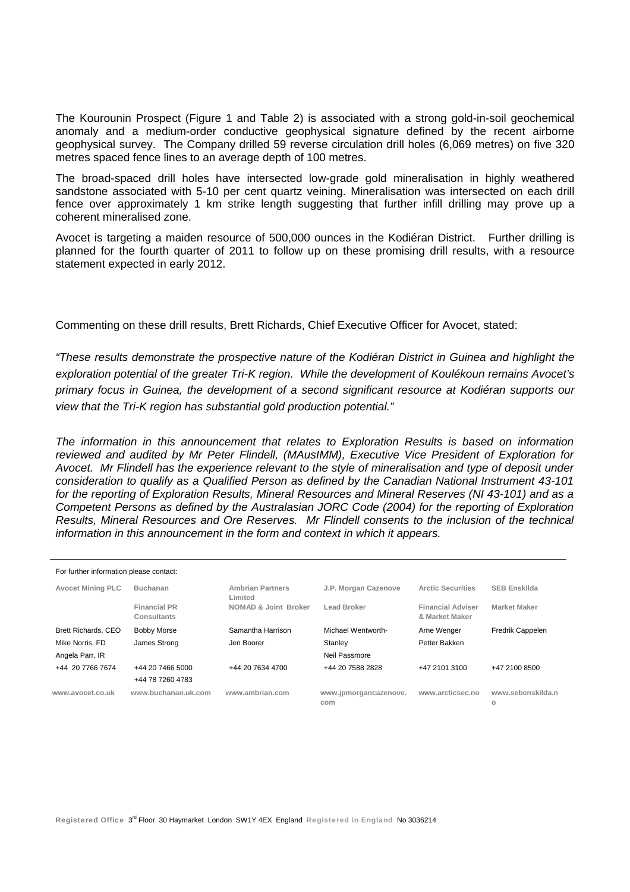The Kourounin Prospect (Figure 1 and Table 2) is associated with a strong gold-in-soil geochemical anomaly and a medium-order conductive geophysical signature defined by the recent airborne geophysical survey. The Company drilled 59 reverse circulation drill holes (6,069 metres) on five 320 metres spaced fence lines to an average depth of 100 metres.

The broad-spaced drill holes have intersected low-grade gold mineralisation in highly weathered sandstone associated with 5-10 per cent quartz veining. Mineralisation was intersected on each drill fence over approximately 1 km strike length suggesting that further infill drilling may prove up a coherent mineralised zone.

Avocet is targeting a maiden resource of 500,000 ounces in the Kodiéran District. Further drilling is planned for the fourth quarter of 2011 to follow up on these promising drill results, with a resource statement expected in early 2012.

Commenting on these drill results, Brett Richards, Chief Executive Officer for Avocet, stated:

*"These results demonstrate the prospective nature of the Kodiéran District in Guinea and highlight the exploration potential of the greater Tri-K region. While the development of Koulékoun remains Avocet's primary focus in Guinea, the development of a second significant resource at Kodiéran supports our view that the Tri-K region has substantial gold production potential."* 

*The information in this announcement that relates to Exploration Results is based on information reviewed and audited by Mr Peter Flindell, (MAusIMM), Executive Vice President of Exploration for Avocet. Mr Flindell has the experience relevant to the style of mineralisation and type of deposit under consideration to qualify as a Qualified Person as defined by the Canadian National Instrument 43-101 for the reporting of Exploration Results, Mineral Resources and Mineral Reserves (NI 43-101) and as a Competent Persons as defined by the Australasian JORC Code (2004) for the reporting of Exploration Results, Mineral Resources and Ore Reserves. Mr Flindell consents to the inclusion of the technical information in this announcement in the form and context in which it appears.* 

| For further information please contact: |                                      |                                    |                              |                                            |                         |  |  |  |  |  |  |
|-----------------------------------------|--------------------------------------|------------------------------------|------------------------------|--------------------------------------------|-------------------------|--|--|--|--|--|--|
| <b>Avocet Mining PLC</b>                | Buchanan                             | <b>Ambrian Partners</b><br>Limited | J.P. Morgan Cazenove         | <b>Arctic Securities</b>                   | <b>SEB Enskilda</b>     |  |  |  |  |  |  |
|                                         | <b>Financial PR</b><br>Consultants   | <b>NOMAD &amp; Joint Broker</b>    | Lead Broker                  | <b>Financial Adviser</b><br>& Market Maker | <b>Market Maker</b>     |  |  |  |  |  |  |
| Brett Richards, CEO                     | <b>Bobby Morse</b>                   | Samantha Harrison                  | Michael Wentworth-           | Arne Wenger                                | <b>Fredrik Cappelen</b> |  |  |  |  |  |  |
| Mike Norris, FD                         | James Strong                         | Jen Boorer                         | Stanley                      | Petter Bakken                              |                         |  |  |  |  |  |  |
| Angela Parr, IR                         |                                      |                                    | Neil Passmore                |                                            |                         |  |  |  |  |  |  |
| +44 20 7766 7674                        | +44 20 7466 5000<br>+44 78 7260 4783 | +44 20 7634 4700                   | +44 20 7588 2828             | +47 2101 3100                              | +47 2100 8500           |  |  |  |  |  |  |
| www.avocet.co.uk                        | www.buchanan.uk.com                  | www.ambrian.com                    | www.jpmorgancazenove.<br>com | www.arcticsec.no                           | www.sebenskilda.n<br>o  |  |  |  |  |  |  |

Registered Office 3<sup>rd</sup> Floor 30 Haymarket London SW1Y 4EX England Registered in England No 3036214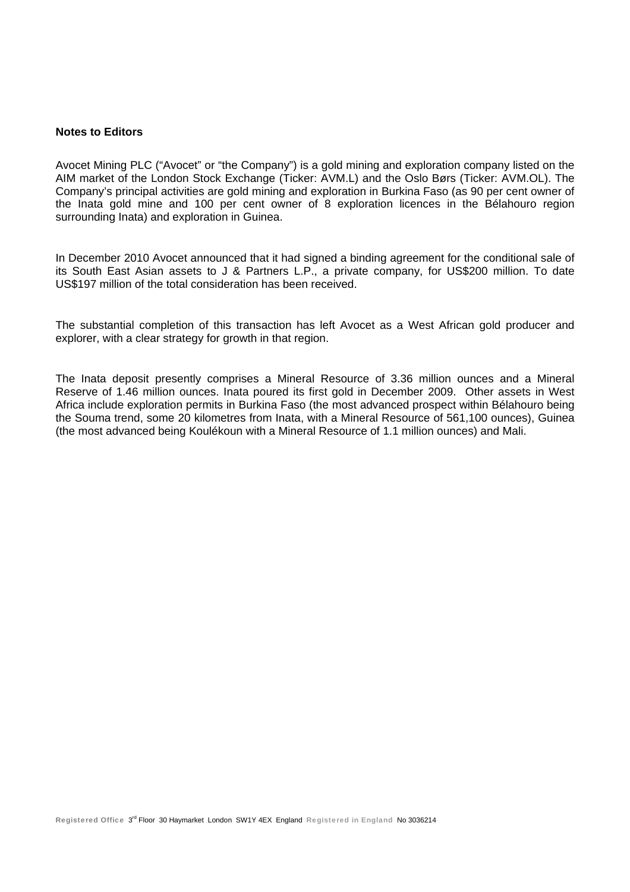#### **Notes to Editors**

Avocet Mining PLC ("Avocet" or "the Company") is a gold mining and exploration company listed on the AIM market of the London Stock Exchange (Ticker: AVM.L) and the Oslo Børs (Ticker: AVM.OL). The Company's principal activities are gold mining and exploration in Burkina Faso (as 90 per cent owner of the Inata gold mine and 100 per cent owner of 8 exploration licences in the Bélahouro region surrounding Inata) and exploration in Guinea.

In December 2010 Avocet announced that it had signed a binding agreement for the conditional sale of its South East Asian assets to J & Partners L.P., a private company, for US\$200 million. To date US\$197 million of the total consideration has been received.

The substantial completion of this transaction has left Avocet as a West African gold producer and explorer, with a clear strategy for growth in that region.

The Inata deposit presently comprises a Mineral Resource of 3.36 million ounces and a Mineral Reserve of 1.46 million ounces. Inata poured its first gold in December 2009. Other assets in West Africa include exploration permits in Burkina Faso (the most advanced prospect within Bélahouro being the Souma trend, some 20 kilometres from Inata, with a Mineral Resource of 561,100 ounces), Guinea (the most advanced being Koulékoun with a Mineral Resource of 1.1 million ounces) and Mali.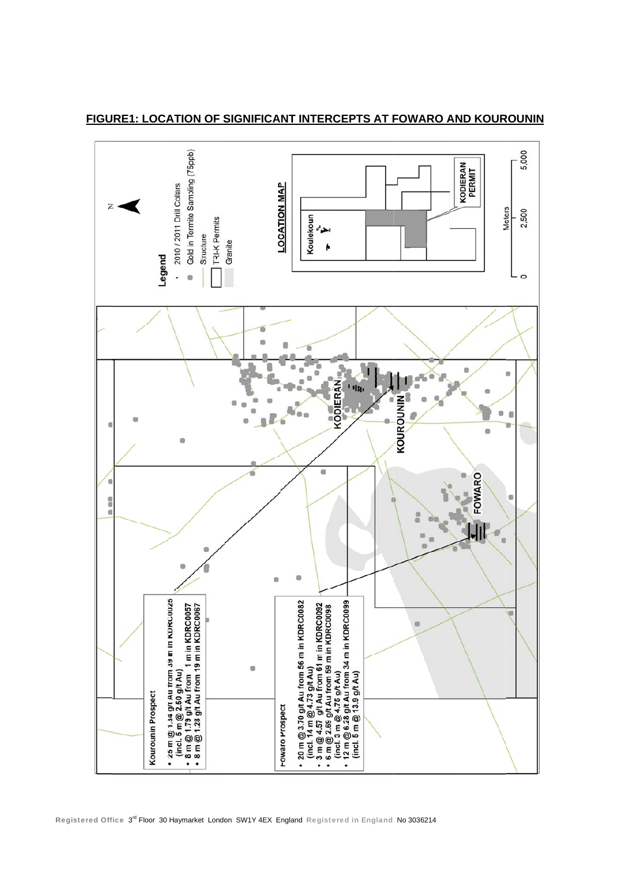

FIGURE1: LOCATION OF SIGNIFICANT INTERCEPTS AT FOWARO AND KOUROUNIN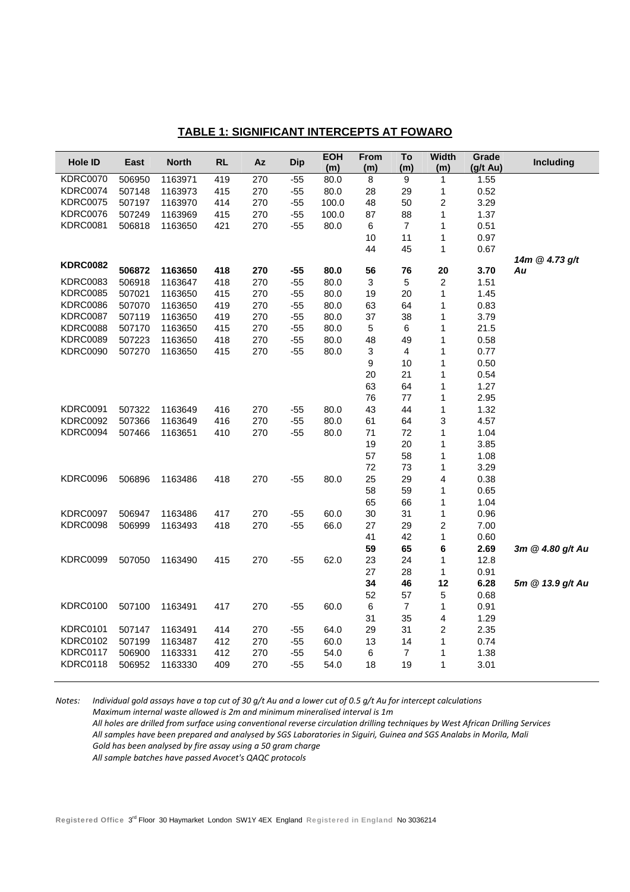| Hole ID         | East   | <b>North</b> | RL  | Az  | <b>Dip</b> | EOH<br>(m) | From<br>(m)               | To<br>(m)        | <b>Width</b><br>(m) | Grade<br>(g/t Au) | Including        |
|-----------------|--------|--------------|-----|-----|------------|------------|---------------------------|------------------|---------------------|-------------------|------------------|
| <b>KDRC0070</b> | 506950 | 1163971      | 419 | 270 | $-55$      | 80.0       | 8                         | 9                | $\mathbf{1}$        | 1.55              |                  |
| <b>KDRC0074</b> | 507148 | 1163973      | 415 | 270 | $-55$      | 80.0       | 28                        | 29               | 1                   | 0.52              |                  |
| <b>KDRC0075</b> | 507197 | 1163970      | 414 | 270 | $-55$      | 100.0      | 48                        | 50               | $\overline{c}$      | 3.29              |                  |
| <b>KDRC0076</b> | 507249 | 1163969      | 415 | 270 | $-55$      | 100.0      | 87                        | 88               | 1                   | 1.37              |                  |
| <b>KDRC0081</b> | 506818 | 1163650      | 421 | 270 | $-55$      | 80.0       | 6                         | $\overline{7}$   | 1                   | 0.51              |                  |
|                 |        |              |     |     |            |            | 10                        | 11               | $\mathbf{1}$        | 0.97              |                  |
|                 |        |              |     |     |            |            | 44                        | 45               | 1                   | 0.67              |                  |
| <b>KDRC0082</b> |        |              |     |     |            |            |                           |                  |                     |                   | 14m @ 4.73 g/t   |
|                 | 506872 | 1163650      | 418 | 270 | -55        | 80.0       | 56                        | 76               | 20                  | 3.70              | Au               |
| <b>KDRC0083</b> | 506918 | 1163647      | 418 | 270 | $-55$      | 80.0       | $\mathbf{3}$              | $\overline{5}$   | $\boldsymbol{2}$    | 1.51              |                  |
| <b>KDRC0085</b> | 507021 | 1163650      | 415 | 270 | $-55$      | 80.0       | 19                        | 20               | $\mathbf{1}$        | 1.45              |                  |
| <b>KDRC0086</b> | 507070 | 1163650      | 419 | 270 | $-55$      | 80.0       | 63                        | 64               | 1                   | 0.83              |                  |
| <b>KDRC0087</b> | 507119 | 1163650      | 419 | 270 | $-55$      | 80.0       | 37                        | 38               | 1                   | 3.79              |                  |
| <b>KDRC0088</b> | 507170 | 1163650      | 415 | 270 | $-55$      | 80.0       | 5                         | 6                | 1                   | 21.5              |                  |
| <b>KDRC0089</b> | 507223 | 1163650      | 418 | 270 | $-55$      | 80.0       | 48                        | 49               | $\mathbf{1}$        | 0.58              |                  |
| <b>KDRC0090</b> | 507270 | 1163650      | 415 | 270 | $-55$      | 80.0       | $\ensuremath{\mathsf{3}}$ | 4                | 1                   | 0.77              |                  |
|                 |        |              |     |     |            |            | 9                         | 10               | 1                   | 0.50              |                  |
|                 |        |              |     |     |            |            | 20                        | 21               | 1                   | 0.54              |                  |
|                 |        |              |     |     |            |            | 63                        | 64               | $\mathbf{1}$        | 1.27              |                  |
|                 |        |              |     |     |            |            | 76                        | 77               | 1                   | 2.95              |                  |
| <b>KDRC0091</b> | 507322 | 1163649      | 416 | 270 | -55        | 80.0       | 43                        | 44               | 1                   | 1.32              |                  |
| <b>KDRC0092</b> | 507366 | 1163649      | 416 | 270 | $-55$      | 80.0       | 61                        | 64               | 3                   | 4.57              |                  |
| KDRC0094        | 507466 | 1163651      | 410 | 270 | -55        | 80.0       | 71                        | 72               | 1                   | 1.04              |                  |
|                 |        |              |     |     |            |            | 19                        | 20               | 1                   | 3.85              |                  |
|                 |        |              |     |     |            |            | 57                        | 58               | 1                   | 1.08              |                  |
|                 |        |              |     |     |            |            | 72                        | 73               | 1                   | 3.29              |                  |
| <b>KDRC0096</b> | 506896 | 1163486      | 418 | 270 | $-55$      | 80.0       | 25                        | 29               | 4                   | 0.38              |                  |
|                 |        |              |     |     |            |            | 58                        | 59               | 1                   | 0.65              |                  |
|                 |        |              |     |     |            |            | 65                        | 66               | 1                   | 1.04              |                  |
| <b>KDRC0097</b> | 506947 | 1163486      | 417 | 270 | -55        | 60.0       | 30                        | 31               | $\mathbf{1}$        | 0.96              |                  |
| <b>KDRC0098</b> | 506999 | 1163493      | 418 | 270 | $-55$      | 66.0       | 27                        | 29               | $\boldsymbol{2}$    | 7.00              |                  |
|                 |        |              |     |     |            |            | 41                        | 42               | 1                   | 0.60              |                  |
|                 |        |              |     |     |            |            | 59                        | 65               | 6                   | 2.69              | 3m @ 4.80 g/t Au |
| <b>KDRC0099</b> | 507050 | 1163490      | 415 | 270 | $-55$      | 62.0       | 23                        | 24               | 1                   | 12.8              |                  |
|                 |        |              |     |     |            |            | 27                        | 28               | $\mathbf{1}$        | 0.91              |                  |
|                 |        |              |     |     |            |            | 34                        | 46               | 12                  | 6.28              | 5m @ 13.9 g/t Au |
|                 |        |              |     |     |            |            | 52                        | 57               | 5                   | 0.68              |                  |
| <b>KDRC0100</b> | 507100 | 1163491      | 417 | 270 | $-55$      | 60.0       | $\,6$                     | $\overline{7}$   | $\mathbf{1}$        | 0.91              |                  |
|                 |        |              |     |     |            |            | 31                        | 35               | 4                   | 1.29              |                  |
| <b>KDRC0101</b> | 507147 | 1163491      | 414 | 270 | -55        | 64.0       | 29                        | 31               | 2                   | 2.35              |                  |
| <b>KDRC0102</b> | 507199 | 1163487      | 412 | 270 | $-55$      | 60.0       | 13                        | 14               | 1                   | 0.74              |                  |
| KDRC0117        | 506900 | 1163331      | 412 | 270 | $-55$      | 54.0       | 6                         | $\boldsymbol{7}$ | 1                   | 1.38              |                  |
| <b>KDRC0118</b> | 506952 | 1163330      | 409 | 270 | $-55$      | 54.0       | 18                        | 19               | $\mathbf{1}$        | 3.01              |                  |

Notes: Individual gold assays have a top cut of 30 g/t Au and a lower cut of 0.5 g/t Au for intercept calculations *Maximum internal waste allowed is 2m and minimum mineralised interval is 1m* All holes are drilled from surface using conventional reverse circulation drilling techniques by West African Drilling Services All samples have been prepared and analysed by SGS Laboratories in Siguiri, Guinea and SGS Analabs in Morila, Mali *Gold has been analysed by fire assay using a 50 gram charge All sample batches have passed Avocet's QAQC protocols*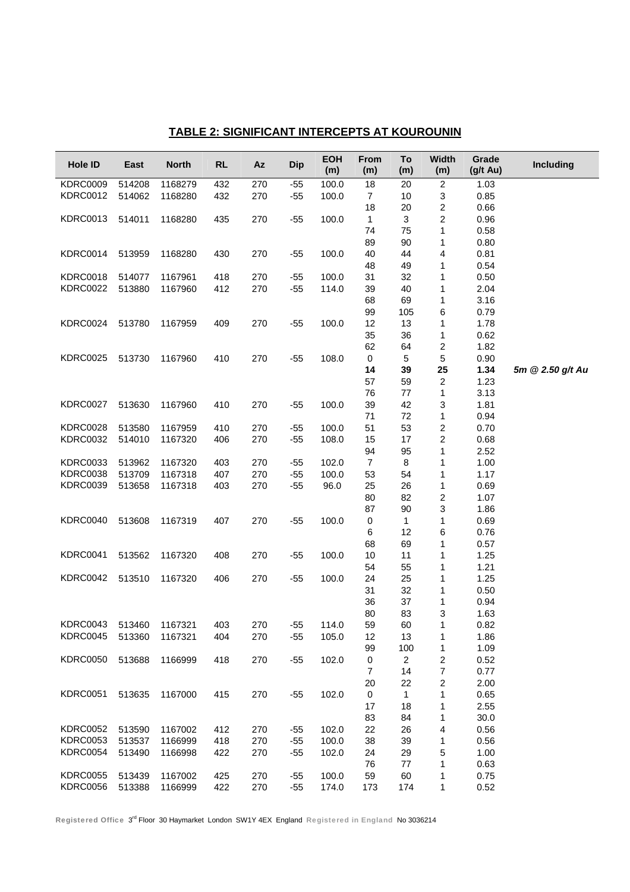| Hole ID                 | East   | <b>North</b> | <b>RL</b> | <b>Az</b> | <b>Dip</b> | <b>EOH</b><br>(m) | <b>From</b><br>(m) | To<br>(m)      | Width<br>(m)            | Grade<br>$(g/t \, Au)$ | <b>Including</b> |
|-------------------------|--------|--------------|-----------|-----------|------------|-------------------|--------------------|----------------|-------------------------|------------------------|------------------|
| <b>KDRC0009</b>         | 514208 | 1168279      | 432       | 270       | $-55$      | 100.0             | 18                 | 20             | $\overline{c}$          | 1.03                   |                  |
| <b>KDRC0012</b>         | 514062 | 1168280      | 432       | 270       | $-55$      | 100.0             | $\overline{7}$     | 10             | 3                       | 0.85                   |                  |
|                         |        |              |           |           |            |                   | 18                 | 20             | $\overline{\mathbf{c}}$ | 0.66                   |                  |
| <b>KDRC0013</b>         | 514011 | 1168280      | 435       | 270       | $-55$      | 100.0             | $\mathbf{1}$       | $\mathbf{3}$   | $\overline{c}$          | 0.96                   |                  |
|                         |        |              |           |           |            |                   | 74                 | 75             | 1                       | 0.58                   |                  |
|                         |        |              |           |           |            |                   | 89                 | 90             | 1                       | 0.80                   |                  |
| KDRC0014                | 513959 | 1168280      | 430       | 270       | $-55$      | 100.0             | 40                 | 44             | 4                       | 0.81                   |                  |
|                         |        |              |           |           |            |                   | 48                 | 49             | 1                       | 0.54                   |                  |
| KDRC0018                | 514077 | 1167961      | 418       | 270       | $-55$      | 100.0             | 31                 | 32             | 1                       | 0.50                   |                  |
| <b>KDRC0022</b>         | 513880 | 1167960      | 412       | 270       | $-55$      | 114.0             | 39                 | 40             | 1                       | 2.04                   |                  |
|                         |        |              |           |           |            |                   | 68                 | 69             | 1                       | 3.16                   |                  |
| <b>KDRC0024</b>         | 513780 | 1167959      | 409       | 270       | $-55$      | 100.0             | 99<br>12           | 105<br>13      | 6<br>1                  | 0.79<br>1.78           |                  |
|                         |        |              |           |           |            |                   | 35                 | 36             | 1                       | 0.62                   |                  |
|                         |        |              |           |           |            |                   | 62                 | 64             | $\overline{\mathbf{c}}$ | 1.82                   |                  |
| <b>KDRC0025</b>         | 513730 | 1167960      | 410       | 270       | $-55$      | 108.0             | $\pmb{0}$          | 5              | $\mathbf 5$             | 0.90                   |                  |
|                         |        |              |           |           |            |                   | 14                 | 39             | 25                      | 1.34                   | 5m @ 2.50 g/t Au |
|                         |        |              |           |           |            |                   | 57                 | 59             | $\boldsymbol{2}$        | 1.23                   |                  |
|                         |        |              |           |           |            |                   | 76                 | 77             | 1                       | 3.13                   |                  |
| <b>KDRC0027</b>         | 513630 | 1167960      | 410       | 270       | $-55$      | 100.0             | 39                 | 42             | 3                       | 1.81                   |                  |
|                         |        |              |           |           |            |                   | 71                 | 72             | 1                       | 0.94                   |                  |
| <b>KDRC0028</b>         | 513580 | 1167959      | 410       | 270       | $-55$      | 100.0             | 51                 | 53             | $\overline{\mathbf{c}}$ | 0.70                   |                  |
| <b>KDRC0032</b>         | 514010 | 1167320      | 406       | 270       | $-55$      | 108.0             | 15                 | 17             | $\boldsymbol{2}$        | 0.68                   |                  |
|                         |        |              |           |           |            |                   | 94                 | 95             | 1                       | 2.52                   |                  |
| <b>KDRC0033</b>         | 513962 | 1167320      | 403       | 270       | $-55$      | 102.0             | $\overline{7}$     | 8              | 1                       | 1.00                   |                  |
| <b>KDRC0038</b>         | 513709 | 1167318      | 407       | 270       | $-55$      | 100.0             | 53                 | 54             | 1                       | 1.17                   |                  |
| <b>KDRC0039</b>         | 513658 | 1167318      | 403       | 270       | $-55$      | 96.0              | 25                 | 26             | 1                       | 0.69                   |                  |
|                         |        |              |           |           |            |                   | 80                 | 82             | $\overline{\mathbf{c}}$ | 1.07                   |                  |
|                         |        |              |           |           |            |                   | 87                 | 90             | 3                       | 1.86                   |                  |
| KDRC0040                | 513608 | 1167319      | 407       | 270       | $-55$      | 100.0             | 0                  | 1              | 1                       | 0.69                   |                  |
|                         |        |              |           |           |            |                   | 6                  | 12             | 6                       | 0.76                   |                  |
|                         |        |              |           |           |            |                   | 68                 | 69             | 1                       | 0.57                   |                  |
| KDRC0041                | 513562 | 1167320      | 408       | 270       | $-55$      | 100.0             | 10                 | 11             | 1                       | 1.25                   |                  |
| <b>KDRC0042</b>         | 513510 | 1167320      | 406       | 270       | -55        | 100.0             | 54<br>24           | 55<br>25       | 1<br>1                  | 1.21<br>1.25           |                  |
|                         |        |              |           |           |            |                   | 31                 | 32             | 1                       | 0.50                   |                  |
|                         |        |              |           |           |            |                   | 36                 | 37             | 1                       | 0.94                   |                  |
|                         |        |              |           |           |            |                   | 80                 | 83             | 3                       | 1.63                   |                  |
| KDRC0043 513460 1167321 |        |              | 403       | 270       | $-55$      | 114.0             | 59                 | 60             | 1                       | 0.82                   |                  |
| <b>KDRC0045</b>         | 513360 | 1167321      | 404       | 270       | $-55$      | 105.0             | 12                 | 13             | 1                       | 1.86                   |                  |
|                         |        |              |           |           |            |                   | 99                 | 100            | 1                       | 1.09                   |                  |
| <b>KDRC0050</b>         | 513688 | 1166999      | 418       | 270       | $-55$      | 102.0             | $\pmb{0}$          | $\overline{c}$ | 2                       | 0.52                   |                  |
|                         |        |              |           |           |            |                   | $\overline{7}$     | 14             | 7                       | 0.77                   |                  |
|                         |        |              |           |           |            |                   | 20                 | 22             | 2                       | 2.00                   |                  |
| <b>KDRC0051</b>         | 513635 | 1167000      | 415       | 270       | $-55$      | 102.0             | $\pmb{0}$          | 1              | 1                       | 0.65                   |                  |
|                         |        |              |           |           |            |                   | 17                 | 18             | 1                       | 2.55                   |                  |
|                         |        |              |           |           |            |                   | 83                 | 84             | 1                       | 30.0                   |                  |
| <b>KDRC0052</b>         | 513590 | 1167002      | 412       | 270       | $-55$      | 102.0             | 22                 | 26             | 4                       | 0.56                   |                  |
| <b>KDRC0053</b>         | 513537 | 1166999      | 418       | 270       | $-55$      | 100.0             | 38                 | 39             | 1                       | 0.56                   |                  |
| <b>KDRC0054</b>         | 513490 | 1166998      | 422       | 270       | $-55$      | 102.0             | 24                 | 29             | 5                       | 1.00                   |                  |
|                         |        |              |           |           |            |                   | 76                 | 77             | 1                       | 0.63                   |                  |
| <b>KDRC0055</b>         | 513439 | 1167002      | 425       | 270       | $-55$      | 100.0             | 59                 | 60             | 1                       | 0.75                   |                  |
| <b>KDRC0056</b>         | 513388 | 1166999      | 422       | 270       | $-55$      | 174.0             | 173                | 174            | 1                       | 0.52                   |                  |

# **TABLE 2: SIGNIFICANT INTERCEPTS AT KOUROUNIN**

Registered Office 3rd Floor 30 Haymarket London SW1Y 4EX England Registered in England No 3036214